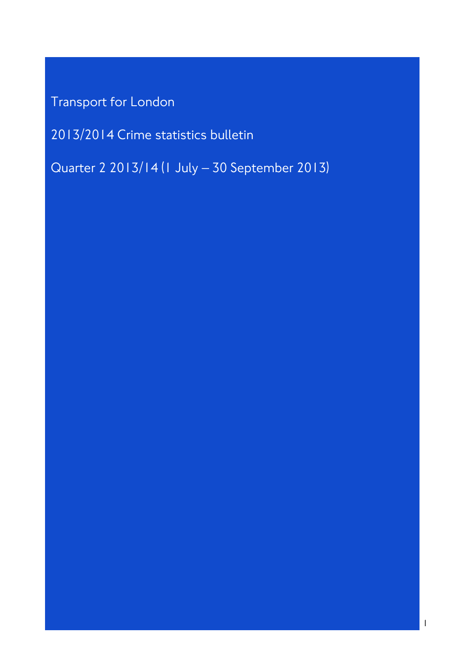Transport for London

2013/2014 Crime statistics bulletin

Quarter 2 2013/14 (1 July – 30 September 2013)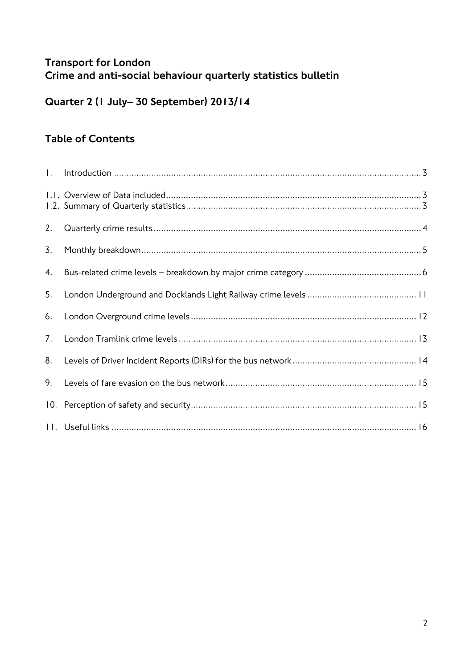# Transport for London Crime and anti-social behaviour quarterly statistics bulletin

# Quarter 2 (1 July– 30 September) 2013/14

# Table of Contents

| $\mathbf{L}$ |  |
|--------------|--|
|              |  |
| 2.           |  |
| 3.           |  |
| 4.           |  |
| 5.           |  |
| 6.           |  |
| 7.           |  |
| 8.           |  |
| 9.           |  |
|              |  |
|              |  |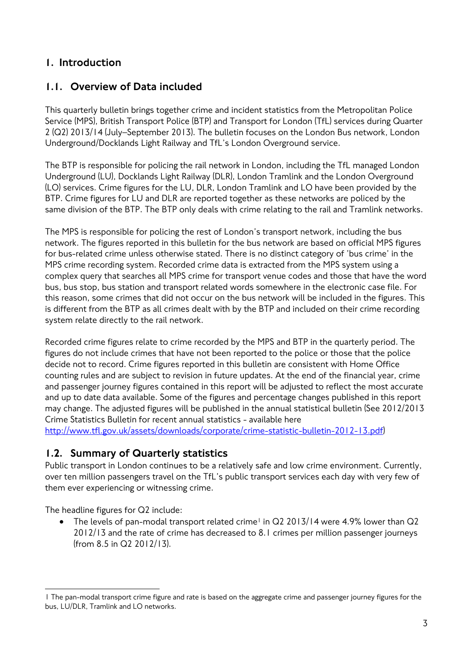#### 1. Introduction

#### 1.1. Overview of Data included

This quarterly bulletin brings together crime and incident statistics from the Metropolitan Police Service (MPS), British Transport Police (BTP) and Transport for London (TfL) services during Quarter 2 (Q2) 2013/14 (July–September 2013). The bulletin focuses on the London Bus network, London Underground/Docklands Light Railway and TfL's London Overground service.

The BTP is responsible for policing the rail network in London, including the TfL managed London Underground (LU), Docklands Light Railway (DLR), London Tramlink and the London Overground (LO) services. Crime figures for the LU, DLR, London Tramlink and LO have been provided by the BTP. Crime figures for LU and DLR are reported together as these networks are policed by the same division of the BTP. The BTP only deals with crime relating to the rail and Tramlink networks.

The MPS is responsible for policing the rest of London's transport network, including the bus network. The figures reported in this bulletin for the bus network are based on official MPS figures for bus-related crime unless otherwise stated. There is no distinct category of 'bus crime' in the MPS crime recording system. Recorded crime data is extracted from the MPS system using a complex query that searches all MPS crime for transport venue codes and those that have the word bus, bus stop, bus station and transport related words somewhere in the electronic case file. For this reason, some crimes that did not occur on the bus network will be included in the figures. This is different from the BTP as all crimes dealt with by the BTP and included on their crime recording system relate directly to the rail network.

Recorded crime figures relate to crime recorded by the MPS and BTP in the quarterly period. The figures do not include crimes that have not been reported to the police or those that the police decide not to record. Crime figures reported in this bulletin are consistent with Home Office counting rules and are subject to revision in future updates. At the end of the financial year, crime and passenger journey figures contained in this report will be adjusted to reflect the most accurate and up to date data available. Some of the figures and percentage changes published in this report may change. The adjusted figures will be published in the annual statistical bulletin (See 2012/2013 Crime Statistics Bulletin for recent annual statistics - available here http://www.tfl.gov.uk/assets/downloads/corporate/crime-statistic-bulletin-2012-13.pdf)

#### 1.2. Summary of Quarterly statistics

Public transport in London continues to be a relatively safe and low crime environment. Currently, over ten million passengers travel on the TfL's public transport services each day with very few of them ever experiencing or witnessing crime.

The headline figures for Q2 include:

• The levels of pan-modal transport related crime<sup>1</sup> in Q2 2013/14 were 4.9% lower than  $Q2$ 2012/13 and the rate of crime has decreased to 8.1 crimes per million passenger journeys (from 8.5 in Q2 2012/13).

 $\overline{a}$ 1 The pan-modal transport crime figure and rate is based on the aggregate crime and passenger journey figures for the bus, LU/DLR, Tramlink and LO networks.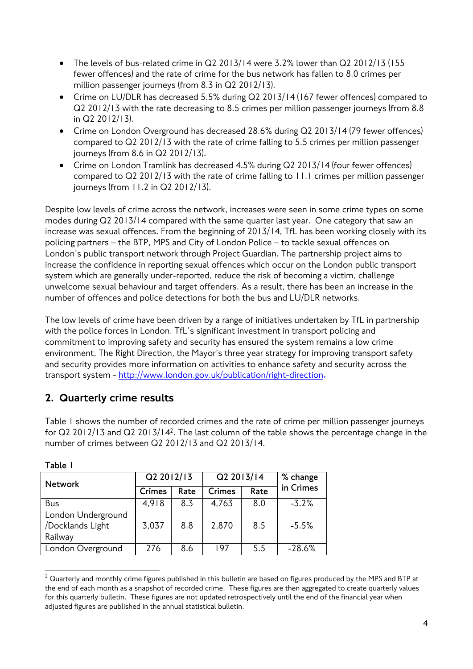- The levels of bus-related crime in Q2 2013/14 were 3.2% lower than Q2 2012/13 (155 fewer offences) and the rate of crime for the bus network has fallen to 8.0 crimes per million passenger journeys (from 8.3 in Q2 2012/13).
- Crime on LU/DLR has decreased 5.5% during Q2 2013/14 (167 fewer offences) compared to Q2 2012/13 with the rate decreasing to 8.5 crimes per million passenger journeys (from 8.8 in Q2 2012/13).
- Crime on London Overground has decreased 28.6% during Q2 2013/14 (79 fewer offences) compared to Q2 2012/13 with the rate of crime falling to 5.5 crimes per million passenger journeys (from 8.6 in Q2 2012/13).
- Crime on London Tramlink has decreased 4.5% during Q2 2013/14 (four fewer offences) compared to Q2 2012/13 with the rate of crime falling to 11.1 crimes per million passenger journeys (from 11.2 in Q2 2012/13).

Despite low levels of crime across the network, increases were seen in some crime types on some modes during Q2 2013/14 compared with the same quarter last year. One category that saw an increase was sexual offences. From the beginning of 2013/14, TfL has been working closely with its policing partners – the BTP, MPS and City of London Police – to tackle sexual offences on London's public transport network through Project Guardian. The partnership project aims to increase the confidence in reporting sexual offences which occur on the London public transport system which are generally under-reported, reduce the risk of becoming a victim, challenge unwelcome sexual behaviour and target offenders. As a result, there has been an increase in the number of offences and police detections for both the bus and LU/DLR networks.

The low levels of crime have been driven by a range of initiatives undertaken by TfL in partnership with the police forces in London. TfL's significant investment in transport policing and commitment to improving safety and security has ensured the system remains a low crime environment. The Right Direction, the Mayor's three year strategy for improving transport safety and security provides more information on activities to enhance safety and security across the transport system - http://www.london.gov.uk/publication/right-direction**.**

# 2. Quarterly crime results

Table 1 shows the number of recorded crimes and the rate of crime per million passenger journeys for Q2 2012/13 and Q2 2013/142. The last column of the table shows the percentage change in the number of crimes between Q2 2012/13 and Q2 2013/14.

| <b>Network</b>                                    | Q2 2012/13    |      | Q2 2013/14    | % change |           |
|---------------------------------------------------|---------------|------|---------------|----------|-----------|
|                                                   | <b>Crimes</b> | Rate | <b>Crimes</b> | Rate     | in Crimes |
| Bus                                               | 4,918         | 8.3  | 4,763         | 8.0      | $-3.2%$   |
| London Underground<br>/Docklands Light<br>Railway | 3,037         | 8.8  | 2,870         | 8.5      | $-5.5%$   |
| London Overground                                 | 276           | 8.6  | 197           | 5.5      | $-28.6%$  |

**Table 1** 

 $\overline{a}$ 

 $2$  Quarterly and monthly crime figures published in this bulletin are based on figures produced by the MPS and BTP at the end of each month as a snapshot of recorded crime. These figures are then aggregated to create quarterly values for this quarterly bulletin. These figures are not updated retrospectively until the end of the financial year when adjusted figures are published in the annual statistical bulletin.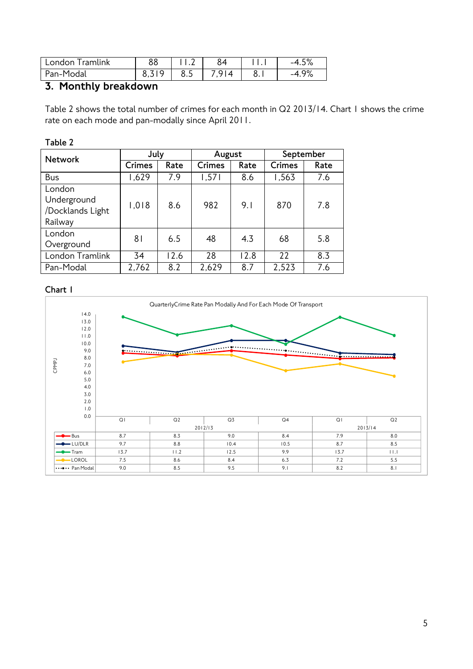| Tramlink<br>l London | oo |     |               |           | $\Gamma$ O/<br>$-4$<br>ە/ ئ.1 |
|----------------------|----|-----|---------------|-----------|-------------------------------|
| Pan-Modal            |    | 8.5 | $\Delta$<br>ີ | Ο<br>o. I | 0 <sup>0</sup><br>1/0         |

# 3. Monthly breakdown

Table 2 shows the total number of crimes for each month in Q2 2013/14. Chart 1 shows the crime rate on each mode and pan-modally since April 2011.

#### **Table 2**

| <b>Network</b>                                       | July          |      | August |      | September     |      |  |
|------------------------------------------------------|---------------|------|--------|------|---------------|------|--|
|                                                      | <b>Crimes</b> | Rate | Crimes | Rate | <b>Crimes</b> | Rate |  |
| Bus                                                  | 1,629         | 7.9  | 1,571  | 8.6  | 1,563         | 7.6  |  |
| London<br>Underground<br>/Docklands Light<br>Railway | 1,018         | 8.6  | 982    | 9.1  | 870           | 7.8  |  |
| London<br>Overground                                 | 81            | 6.5  | 48     | 4.3  | 68            | 5.8  |  |
| London Tramlink                                      | 34            | 12.6 | 28     | 12.8 | 22            | 8.3  |  |
| Pan-Modal                                            | 2,762         | 8.2  | 2,629  | 8.7  | 2,523         | 7.6  |  |

#### **Chart 1**

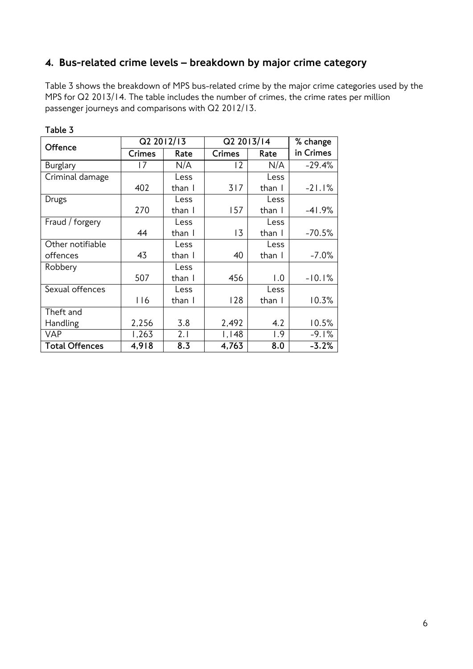## 4. Bus-related crime levels – breakdown by major crime category

Table 3 shows the breakdown of MPS bus-related crime by the major crime categories used by the MPS for Q2 2013/14. The table includes the number of crimes, the crime rates per million passenger journeys and comparisons with Q2 2012/13.

| <b>Offence</b>        |               | Q2 2012/13 | Q2 2013/14     |        | % change  |
|-----------------------|---------------|------------|----------------|--------|-----------|
|                       | <b>Crimes</b> | Rate       | <b>Crimes</b>  | Rate   | in Crimes |
| <b>Burglary</b>       | 17            | N/A        | $\overline{2}$ | N/A    | $-29.4%$  |
| Criminal damage       |               | Less       |                | Less   |           |
|                       | 402           | than I     | 317            | than I | $-21.1%$  |
| Drugs                 |               | Less       |                | Less   |           |
|                       | 270           | than I     | 157            | than I | $-41.9%$  |
| Fraud / forgery       |               | Less       |                | Less   |           |
|                       | 44            | than I     | 13             | than I | $-70.5%$  |
| Other notifiable      |               | Less       |                | Less   |           |
| offences              | 43            | than I     | 40             | than I | $-7.0%$   |
| Robbery               |               | Less       |                |        |           |
|                       | 507           | than I     | 456            | 1.0    | $-10.1%$  |
| Sexual offences       |               | Less       |                | Less   |           |
|                       | 116           | than I     | 128            | than I | 10.3%     |
| Theft and             |               |            |                |        |           |
| Handling              | 2,256         | 3.8        | 2,492          | 4.2    | 10.5%     |
| <b>VAP</b>            | 1,263         | 2.1        | 1,148          | 1.9    | $-9.1%$   |
| <b>Total Offences</b> | 4,918         | 8.3        | 4,763          | 8.0    | $-3.2%$   |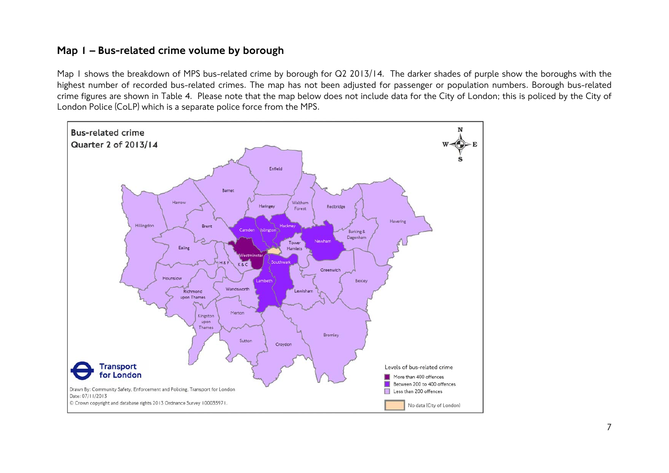#### Map 1 – Bus-related crime volume by borough

Map I shows the breakdown of MPS bus-related crime by borough for Q2 2013/14. The darker shades of purple show the boroughs with the highest number of recorded bus-related crimes. The map has not been adjusted for passenger or population numbers. Borough bus-related crime figures are shown in Table 4. Please note that the map below does not include data for the City of London; this is policed by the City of London Police (CoLP) which is a separate police force from the MPS.

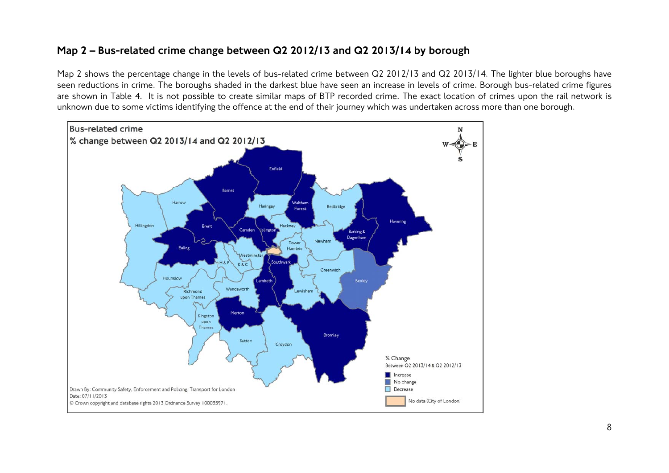#### Map 2 – Bus-related crime change between Q2 2012/13 and Q2 2013/14 by borough

Map 2 shows the percentage change in the levels of bus-related crime between Q2 2012/13 and Q2 2013/14. The lighter blue boroughs have seen reductions in crime. The boroughs shaded in the darkest blue have seen an increase in levels of crime. Borough bus-related crime figures are shown in Table 4. It is not possible to create similar maps of BTP recorded crime. The exact location of crimes upon the rail network is unknown due to some victims identifying the offence at the end of their journey which was undertaken across more than one borough.

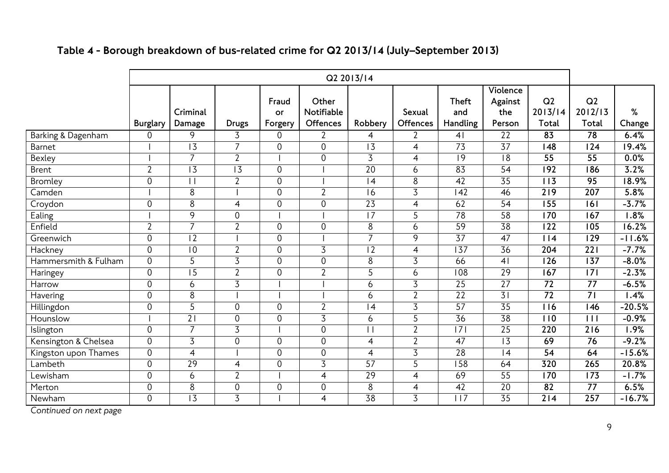# Table 4 - Borough breakdown of bus-related crime for Q2 2013/14 (July–September 2013)

|                      |                  |                    |                |                        |                                        | Q2 2013/14      |                           |                                 |                                      |                                    |                        |                   |
|----------------------|------------------|--------------------|----------------|------------------------|----------------------------------------|-----------------|---------------------------|---------------------------------|--------------------------------------|------------------------------------|------------------------|-------------------|
|                      | <b>Burglary</b>  | Criminal<br>Damage | <b>Drugs</b>   | Fraud<br>or<br>Forgery | Other<br>Notifiable<br><b>Offences</b> | Robbery         | Sexual<br><b>Offences</b> | <b>Theft</b><br>and<br>Handling | Violence<br>Against<br>the<br>Person | Q <sub>2</sub><br>2013/14<br>Total | Q2<br>2012/13<br>Total | ℅<br>Change       |
| Barking & Dagenham   | $\overline{0}$   | 9                  | 3              | 0                      | $\overline{2}$                         | 4               | $\overline{2}$            | 4 <sub>1</sub>                  | 22                                   | 83                                 | $\overline{78}$        | 6.4%              |
| <b>Barnet</b>        |                  | $\overline{13}$    | $\overline{7}$ | 0                      | 0                                      | $\overline{3}$  | 4                         | 73                              | $\overline{37}$                      | $\overline{148}$                   | $\overline{124}$       | 19.4%             |
| Bexley               |                  | $\overline{7}$     | $\overline{2}$ |                        | $\overline{0}$                         | $\overline{3}$  | $\overline{4}$            | 9                               | $\overline{8}$                       | 55                                 | 55                     | 0.0%              |
| <b>Brent</b>         | $\overline{2}$   | $\overline{13}$    | 13             | 0                      |                                        | $\overline{20}$ | 6                         | $8\overline{3}$                 | $\overline{54}$                      | 192                                | 186                    | 3.2%              |
| <b>Bromley</b>       | $\boldsymbol{0}$ | $\vert \vert$      | $\overline{2}$ | 0                      |                                        | $\vert$ 4       | 8                         | $\overline{42}$                 | $\overline{35}$                      | 113                                | 95                     | 18.9%             |
| Camden               |                  | 8                  |                | 0                      | $\overline{2}$                         | 16              | $\overline{3}$            | $\overline{142}$                | 46                                   | $\overline{219}$                   | 207                    | 5.8%              |
| Croydon              | $\mathbf 0$      | 8                  | 4              | 0                      | 0                                      | $\overline{23}$ | $\overline{4}$            | 62                              | $\overline{54}$                      | 155                                | 161                    | $-3.7%$           |
| Ealing               |                  | $\overline{9}$     | $\mathbf 0$    |                        |                                        | $\overline{17}$ | $\overline{5}$            | 78                              | 58                                   | $\overline{170}$                   | $\overline{167}$       | $\overline{.8\%}$ |
| Enfield              | $\overline{2}$   | $\overline{7}$     | $\overline{2}$ | 0                      | 0                                      | 8               | 6                         | 59                              | 38                                   | $\overline{122}$                   | $\overline{105}$       | 16.2%             |
| Greenwich            | $\boldsymbol{0}$ | $\overline{12}$    |                | 0                      |                                        | $\overline{7}$  | 9                         | $\overline{37}$                 | $\overline{47}$                      | 14                                 | $\overline{129}$       | $-11.6%$          |
| Hackney              | $\boldsymbol{0}$ | $\overline{10}$    | $\overline{2}$ | $\overline{0}$         | $\overline{3}$                         | $\overline{2}$  | $\overline{4}$            | $\overline{137}$                | 36                                   | 204                                | $\overline{221}$       | $-7.7%$           |
| Hammersmith & Fulham | $\overline{0}$   | 5                  | $\overline{3}$ | $\mathbf 0$            | $\mathbf 0$                            | 8               | $\overline{3}$            | 66                              | 4 <sub>1</sub>                       | 126                                | $\overline{137}$       | $-8.0%$           |
| Haringey             | $\mathbf 0$      | $\overline{15}$    | $\overline{2}$ | 0                      | $\overline{2}$                         | 5               | 6                         | $\overline{108}$                | $\overline{29}$                      | $\overline{167}$                   | $\overline{171}$       | $-2.3%$           |
| Harrow               | $\overline{0}$   | 6                  | $\overline{3}$ |                        |                                        | 6               | $\overline{3}$            | $\overline{25}$                 | $\overline{27}$                      | $\overline{72}$                    | $\overline{77}$        | $-6.5%$           |
| Havering             | $\mathbf 0$      | 8                  |                |                        |                                        | 6               | $\overline{2}$            | $\overline{22}$                 | $\overline{31}$                      | $\overline{72}$                    | $\overline{71}$        | 1.4%              |
| Hillingdon           | $\mathbf 0$      | 5                  | $\overline{0}$ | $\overline{0}$         | $\overline{2}$                         | 4               | $\overline{3}$            | 57                              | $\overline{35}$                      | $\overline{116}$                   | $\overline{146}$       | $-20.5%$          |
| Hounslow             |                  | $\overline{21}$    | 0              | 0                      | $\overline{3}$                         | 6               | 5                         | 36                              | 38                                   | $\overline{110}$                   | $\overline{111}$       | $-0.9%$           |
| Islington            | $\mathbf 0$      | $\overline{7}$     | $\overline{3}$ |                        | 0                                      |                 | $\overline{2}$            | $\overline{171}$                | $\overline{25}$                      | 220                                | $\overline{216}$       | $1.9\%$           |
| Kensington & Chelsea | $\overline{0}$   | $\overline{3}$     | $\overline{0}$ | $\overline{0}$         | $\overline{0}$                         | 4               | $\overline{2}$            | 47                              | $\overline{13}$                      | 69                                 | 76                     | $-9.2%$           |
| Kingston upon Thames | $\overline{0}$   | $\overline{4}$     |                | 0                      | 0                                      | 4               | $\overline{3}$            | 28                              | $\overline{4}$                       | 54                                 | 64                     | $-15.6%$          |
| Lambeth              | $\boldsymbol{0}$ | 29                 | 4              | 0                      | $\overline{3}$                         | 57              | 5                         | $\overline{158}$                | 64                                   | 320                                | $\overline{265}$       | 20.8%             |
| Lewisham             | $\overline{0}$   | 6                  | $\overline{2}$ |                        | $\overline{4}$                         | 29              | $\overline{4}$            | 69                              | $\overline{55}$                      | $\overline{170}$                   | $\overline{173}$       | $-1.7%$           |
| Merton               | $\boldsymbol{0}$ | 8                  | $\mathbf 0$    | 0                      | 0                                      | 8               | $\overline{4}$            | $\overline{42}$                 | 20                                   | 82                                 | 77                     | 6.5%              |
| Newham               | $\mathbf 0$      | $\overline{13}$    | $\overline{3}$ |                        | 4                                      | 38              | $\overline{3}$            | $\overline{117}$                | $\overline{35}$                      | $\overline{214}$                   | $\overline{257}$       | $-16.7%$          |

*Continued on next page*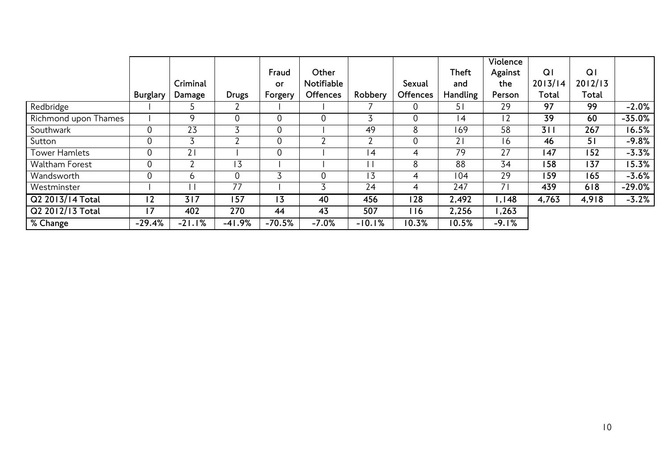|                      |             |                |              |                |                 |                |                 |              | Violence |                |                |          |
|----------------------|-------------|----------------|--------------|----------------|-----------------|----------------|-----------------|--------------|----------|----------------|----------------|----------|
|                      |             |                |              | Fraud          | Other           |                |                 | <b>Theft</b> | Against  | Q <sub>1</sub> | Q <sub>1</sub> |          |
|                      |             | Criminal       |              | or             | Notifiable      |                | Sexual          | and          | the      | 2013/14        | 2012/13        |          |
|                      | Burglary    | Damage         | <b>Drugs</b> | Forgery        | <b>Offences</b> | Robbery        | <b>Offences</b> | Handling     | Person   | Total          | Total          |          |
| Redbridge            |             |                |              |                |                 |                | $\overline{0}$  | 51           | 29       | 97             | 99             | $-2.0%$  |
| Richmond upon Thames |             | q              | 0            | $\mathbf 0$    | $\overline{0}$  |                | $\mathbf 0$     | 4            | 12       | 39             | 60             | $-35.0%$ |
| Southwark            | $\mathbf 0$ | 23             | 3            | $\overline{0}$ |                 | 49             | 8               | 169          | 58       | 311            | 267            | 16.5%    |
| Sutton               | $\mathbf 0$ |                | ົ            | $\overline{0}$ | ำ               |                | 0               | 21           | 16       | 46             | 51             | $-9.8%$  |
| <b>Tower Hamlets</b> | $\mathbf 0$ | 2 <sub>1</sub> |              | 0              |                 | $\overline{4}$ | 4               | 79           | 27       | 147            | 152            | $-3.3%$  |
| Waltham Forest       | $\mathbf 0$ |                | 13           |                |                 |                | 8               | 88           | 34       | 158            | 137            | 15.3%    |
| Wandsworth           | $\mathbf 0$ | b              | 0            |                | $\overline{0}$  | 13             | 4               | 104          | 29       | 159            | 165            | $-3.6%$  |
| Westminster          |             |                | 77           |                | 3               | 24             | 4               | 247          | 71       | 439            | 618            | $-29.0%$ |
| Q2 2013/14 Total     | 12          | 317            | 157          | 13             | 40              | 456            | 128             | 2,492        | 1,148    | 4,763          | 4,918          | $-3.2%$  |
| Q2 2012/13 Total     | 17          | 402            | 270          | 44             | 43              | 507            | 116             | 2,256        | 1,263    |                |                |          |
| % Change             | $-29.4%$    | $-21.1%$       | $-41.9%$     | $-70.5%$       | $-7.0%$         | $-10.1%$       | 10.3%           | 10.5%        | $-9.1%$  |                |                |          |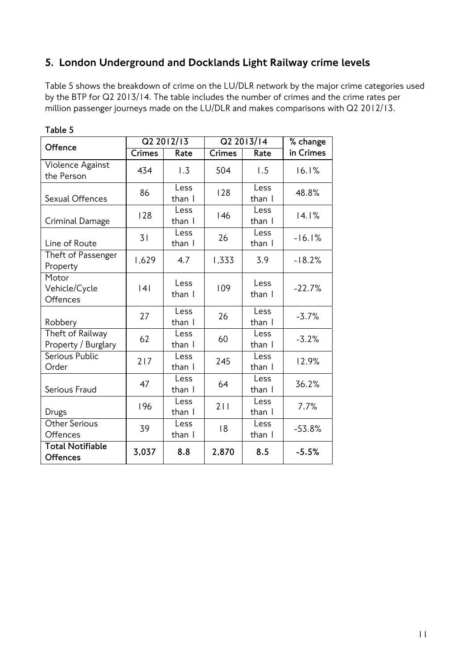## 5. London Underground and Docklands Light Railway crime levels

Table 5 shows the breakdown of crime on the LU/DLR network by the major crime categories used by the BTP for Q2 2013/14. The table includes the number of crimes and the crime rates per million passenger journeys made on the LU/DLR and makes comparisons with Q2 2012/13.

| Offence                                    |               | Q2 2012/13     | Q2 2013/14    | % change       |           |
|--------------------------------------------|---------------|----------------|---------------|----------------|-----------|
|                                            | <b>Crimes</b> | Rate           | <b>Crimes</b> | Rate           | in Crimes |
| Violence Against<br>the Person             | 434           | 1.3            | 504           | 1.5            | 16.1%     |
| Sexual Offences                            | 86            | Less<br>than I | 128           | Less<br>than I | 48.8%     |
| Criminal Damage                            | 128           | Less<br>than I | 146           | Less<br>than I | 14.1%     |
| Line of Route                              | 31            | Less<br>than I | 26            | Less<br>than I | $-16.1%$  |
| Theft of Passenger<br>Property             | 1,629         | 4.7            | 1,333         | 3.9            | $-18.2%$  |
| Motor<br>Vehicle/Cycle<br>Offences         | 4             | Less<br>than I | 109           | Less<br>than I | $-22.7%$  |
| Robbery                                    | 27            | Less<br>than I | 26            | Less<br>than I | $-3.7%$   |
| Theft of Railway<br>Property / Burglary    | 62            | Less<br>than I | 60            | Less<br>than I | $-3.2%$   |
| Serious Public<br>Order                    | 217           | Less<br>than I | 245           | Less<br>than I | 12.9%     |
| Serious Fraud                              | 47            | Less<br>than I | 64            | Less<br>than I | 36.2%     |
| Drugs                                      | 196           | Less<br>than I | 211           | Less<br>than I | 7.7%      |
| Other Serious<br>Offences                  | 39            | Less<br>than I | 18            | Less<br>than I | $-53.8%$  |
| <b>Total Notifiable</b><br><b>Offences</b> | 3,037         | 8.8            | 2,870         | 8.5            | $-5.5%$   |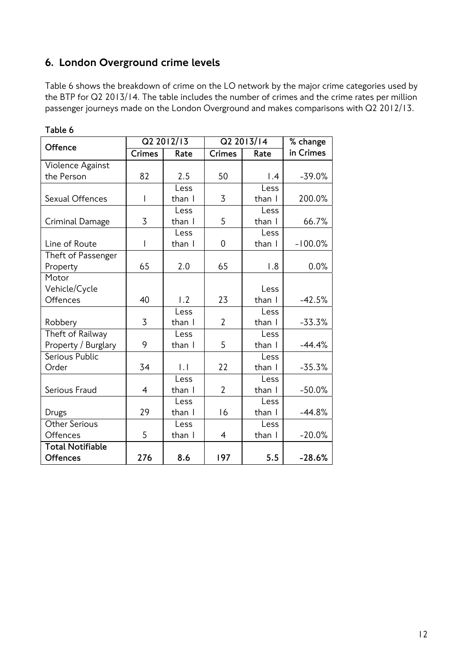# 6. London Overground crime levels

Table 6 shows the breakdown of crime on the LO network by the major crime categories used by the BTP for Q2 2013/14. The table includes the number of crimes and the crime rates per million passenger journeys made on the London Overground and makes comparisons with Q2 2012/13.

| Offence                 |        | Q2 2012/13       |                | Q2 2013/14       | % change  |
|-------------------------|--------|------------------|----------------|------------------|-----------|
|                         | Crimes | Rate             | <b>Crimes</b>  | Rate             | in Crimes |
| Violence Against        |        |                  |                |                  |           |
| the Person              | 82     | 2.5              | 50             | $\overline{1.4}$ | $-39.0%$  |
|                         |        | Less             |                | Less             |           |
| Sexual Offences         | 1      | than I           | 3              | than I           | 200.0%    |
|                         |        | Less             |                | Less             |           |
| Criminal Damage         | 3      | than I           | 5              | than I           | 66.7%     |
|                         |        | Less             |                | Less             |           |
| Line of Route           | I      | than I           | 0              | than I           | $-100.0%$ |
| Theft of Passenger      |        |                  |                |                  |           |
| Property                | 65     | 2.0              | 65             | 1.8              | 0.0%      |
| Motor                   |        |                  |                |                  |           |
| Vehicle/Cycle           |        |                  |                | Less             |           |
| Offences                | 40     | $\overline{1.2}$ | 23             | than I           | $-42.5%$  |
|                         |        | Less             |                | Less             |           |
| Robbery                 | 3      | than I           | $\overline{2}$ | than I           | $-33.3%$  |
| Theft of Railway        |        | Less             |                | Less             |           |
| Property / Burglary     | 9      | than I           | 5              | than I           | $-44.4%$  |
| Serious Public          |        |                  |                | Less             |           |
| Order                   | 34     | .                | 22             | than I           | $-35.3%$  |
|                         |        | Less             |                | Less             |           |
| Serious Fraud           | 4      | than I           | $\overline{2}$ | than I           | $-50.0%$  |
|                         |        | Less             |                | Less             |           |
| Drugs                   | 29     | than I           | 16             | than I           | $-44.8%$  |
| Other Serious           |        | Less             |                | Less             |           |
| Offences                | 5      | than I           | 4              | than I           | $-20.0%$  |
| <b>Total Notifiable</b> |        |                  |                |                  |           |
| <b>Offences</b>         | 276    | 8.6              | 197            | 5.5              | $-28.6%$  |

**Table 6**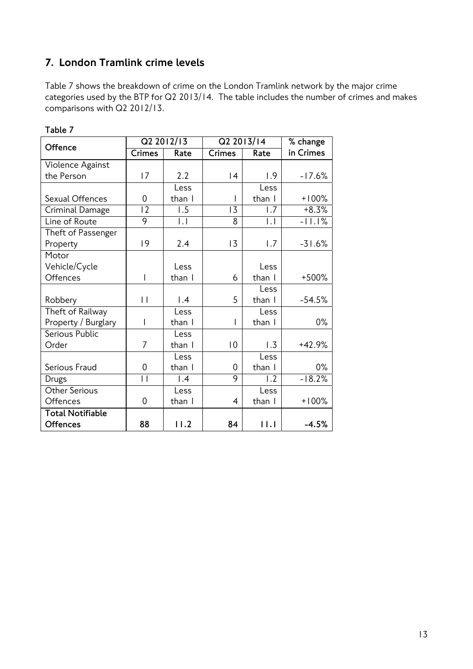# 7. London Tramlink crime levels

Table 7 shows the breakdown of crime on the London Tramlink network by the major crime categories used by the BTP for Q2 2013/14. The table includes the number of crimes and makes comparisons with Q2 2012/13.

| Offence                 |                 | Q2 2012/13      | Q2 2013/14  |                     | % change  |
|-------------------------|-----------------|-----------------|-------------|---------------------|-----------|
|                         | Crimes          | Rate            | Crimes      | Rate                | in Crimes |
| Violence Against        |                 |                 |             |                     |           |
| the Person              | 17              | 2.2             | 4           | $\left  .9 \right $ | $-17.6%$  |
|                         |                 | Less            |             | Less                |           |
| Sexual Offences         | 0               | than I          |             | than I              | $+100%$   |
| Criminal Damage         | $\overline{12}$ | 1.5             | 13          | 1.7                 | $+8.3%$   |
| Line of Route           | 9               | $\overline{L}$  | 8           | .                   | $-11.1%$  |
| Theft of Passenger      |                 |                 |             |                     |           |
| Property                | 9               | 2.4             | 13          | 1.7                 | $-31.6%$  |
| Motor                   |                 |                 |             |                     |           |
| Vehicle/Cycle           |                 | Less            |             | l ess               |           |
| Offences                | I               | than I          | 6           | than I              | +500%     |
|                         |                 |                 |             | Less                |           |
| Robbery                 | $\vert \vert$   | $\mathsf{I}$ .4 | 5           | than I              | $-54.5%$  |
| Theft of Railway        |                 | Less            |             | Less                |           |
| Property / Burglary     | ı               | than I          |             | than I              | $0\%$     |
| Serious Public          |                 | Less            |             |                     |           |
| Order                   | 7               | than I          | $ 0\rangle$ | 1.3                 | $+42.9%$  |
|                         |                 | Less            |             | Less                |           |
| Serious Fraud           | 0               | than I          | 0           | than I              | $0\%$     |
| Drugs                   | $\overline{1}$  | $\mathsf{I}$ .4 | 9           | 1.2                 | $-18.2%$  |
| Other Serious           |                 | Less            |             | Less                |           |
| Offences                | 0               | than I          | 4           | than I              | $+100%$   |
| <b>Total Notifiable</b> |                 |                 |             |                     |           |
| <b>Offences</b>         | 88              | 11.2            | 84          | 11.1                | $-4.5%$   |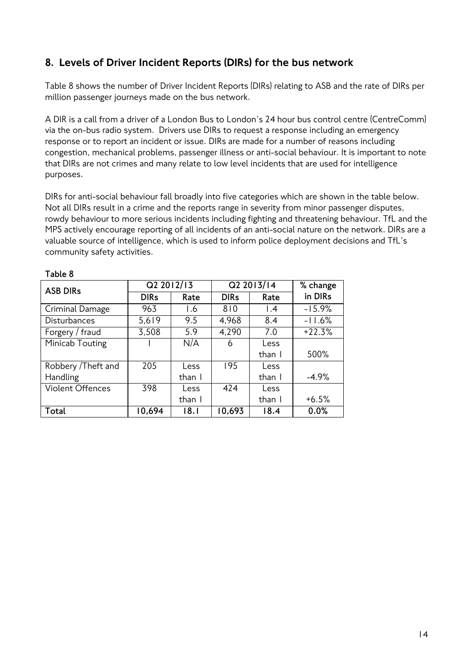## 8. Levels of Driver Incident Reports (DIRs) for the bus network

Table 8 shows the number of Driver Incident Reports (DIRs) relating to ASB and the rate of DIRs per million passenger journeys made on the bus network.

A DIR is a call from a driver of a London Bus to London's 24 hour bus control centre (CentreComm) via the on-bus radio system. Drivers use DIRs to request a response including an emergency response or to report an incident or issue. DIRs are made for a number of reasons including congestion, mechanical problems, passenger illness or anti-social behaviour. It is important to note that DIRs are not crimes and many relate to low level incidents that are used for intelligence purposes.

DIRs for anti-social behaviour fall broadly into five categories which are shown in the table below. Not all DIRs result in a crime and the reports range in severity from minor passenger disputes, rowdy behaviour to more serious incidents including fighting and threatening behaviour. TfL and the MPS actively encourage reporting of all incidents of an anti-social nature on the network. DIRs are a valuable source of intelligence, which is used to inform police deployment decisions and TfL's community safety activities.

| <b>ASB DIRs</b>     | Q2 2012/13  |        | Q2 2013/14  | % change        |          |
|---------------------|-------------|--------|-------------|-----------------|----------|
|                     | <b>DIRs</b> | Rate   | <b>DIRs</b> | Rate            | in DIRs  |
| Criminal Damage     | 963         | 1.6    | 810         | $\mathsf{I}$ .4 | $-15.9%$ |
| <b>Disturbances</b> | 5,619       | 9.5    | 4,968       | 8.4             | $-11.6%$ |
| Forgery / fraud     | 3,508       | 5.9    | 4,290       | 7.0             | $+22.3%$ |
| Minicab Touting     |             | N/A    | 6           | Less            |          |
|                     |             |        |             | than I          | 500%     |
| Robbery / Theft and | 205         | Less   | 195         | Less            |          |
| <b>Handling</b>     |             | than I |             | than I          | $-4.9%$  |
| Violent Offences    | 398         | Less   | 424         | Less            |          |
|                     |             | than I |             | than I          | $+6.5%$  |
| Total               | 10,694      | 18.1   | 10,693      | 18.4            | 0.0%     |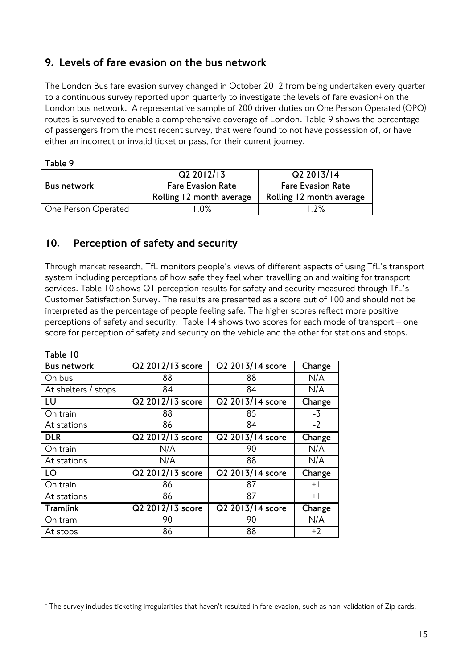## 9. Levels of fare evasion on the bus network

The London Bus fare evasion survey changed in October 2012 from being undertaken every quarter to a continuous survey reported upon quarterly to investigate the levels of fare evasion<sup>‡</sup> on the London bus network. A representative sample of 200 driver duties on One Person Operated (OPO) routes is surveyed to enable a comprehensive coverage of London. Table 9 shows the percentage of passengers from the most recent survey, that were found to not have possession of, or have either an incorrect or invalid ticket or pass, for their current journey.

|                     | Q2 2012/13               | Q2 2013/14               |  |
|---------------------|--------------------------|--------------------------|--|
| <b>Bus network</b>  | <b>Fare Evasion Rate</b> | <b>Fare Evasion Rate</b> |  |
|                     | Rolling 12 month average | Rolling 12 month average |  |
| One Person Operated | .0%                      | 1.2%                     |  |

## 10. Perception of safety and security

Through market research, TfL monitors people's views of different aspects of using TfL's transport system including perceptions of how safe they feel when travelling on and waiting for transport services. Table 10 shows Q1 perception results for safety and security measured through TfL's Customer Satisfaction Survey. The results are presented as a score out of 100 and should not be interpreted as the percentage of people feeling safe. The higher scores reflect more positive perceptions of safety and security. Table 14 shows two scores for each mode of transport – one score for perception of safety and security on the vehicle and the other for stations and stops.

| <b>Bus network</b>  | $\overline{Q2}$ 2012/13 score | Q2 2013/14 score | Change |
|---------------------|-------------------------------|------------------|--------|
| On bus              | 88                            | 88               | N/A    |
| At shelters / stops | 84                            | 84               | N/A    |
| LU                  | Q2 2012/13 score              | Q2 2013/14 score | Change |
| On train            | 88                            | 85               | $-3$   |
| At stations         | 86                            | 84               | $-2$   |
| <b>DLR</b>          | Q2 2012/13 score              | Q2 2013/14 score | Change |
| On train            | N/A                           | 90               | N/A    |
| At stations         | N/A                           | 88               | N/A    |
| LO                  | Q2 2012/13 score              | Q2 2013/14 score | Change |
| On train            | 86                            | 87               | $+1$   |
| At stations         | 86                            | 87               | $+$    |
| <b>Tramlink</b>     | Q2 2012/13 score              | Q2 2013/14 score | Change |
| On tram             | 90                            | 90               | N/A    |
| At stops            | 86                            | 88               | $+2$   |

 $\overline{a}$ ‡ The survey includes ticketing irregularities that haven't resulted in fare evasion, such as non-validation of Zip cards.